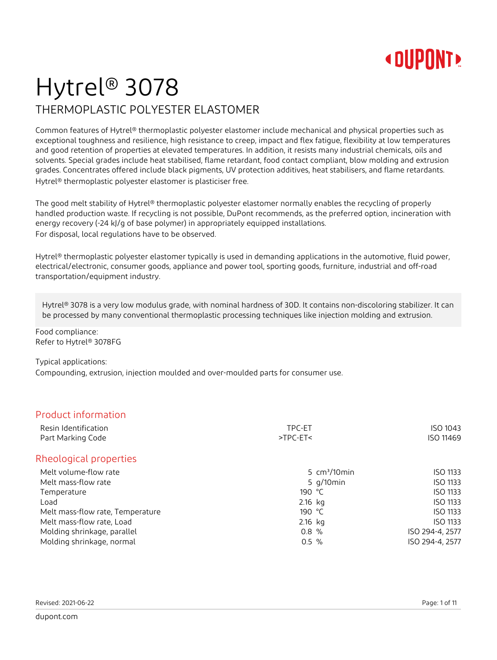## Hytrel® 3078 THERMOPLASTIC POLYESTER ELASTOMER

Common features of Hytrel® thermoplastic polyester elastomer include mechanical and physical properties such as exceptional toughness and resilience, high resistance to creep, impact and flex fatigue, flexibility at low temperatures and good retention of properties at elevated temperatures. In addition, it resists many industrial chemicals, oils and solvents. Special grades include heat stabilised, flame retardant, food contact compliant, blow molding and extrusion grades. Concentrates offered include black pigments, UV protection additives, heat stabilisers, and flame retardants. Hytrel® thermoplastic polyester elastomer is plasticiser free.

The good melt stability of Hytrel® thermoplastic polyester elastomer normally enables the recycling of properly handled production waste. If recycling is not possible, DuPont recommends, as the preferred option, incineration with energy recovery (-24 kJ/g of base polymer) in appropriately equipped installations. For disposal, local regulations have to be observed.

Hytrel<sup>®</sup> thermoplastic polyester elastomer typically is used in demanding applications in the automotive, fluid power, electrical/electronic, consumer goods, appliance and power tool, sporting goods, furniture, industrial and off-road transportation/equipment industry.

Hytrel® 3078 is a very low modulus grade, with nominal hardness of 30D. It contains non-discoloring stabilizer. It can be processed by many conventional thermoplastic processing techniques like injection molding and extrusion.

Food compliance: Refer to Hytrel® 3078FG

#### Typical applications:

Compounding, extrusion, injection moulded and over-moulded parts for consumer use.

### Product information

| Resin Identification<br>Part Marking Code | TPC-ET<br>$>TPC-ET$ | ISO 1043<br>ISO 11469 |
|-------------------------------------------|---------------------|-----------------------|
| Rheological properties                    |                     |                       |
| Melt volume-flow rate                     | 5 $cm3/10$ min      | <b>ISO 1133</b>       |
| Melt mass-flow rate                       | 5 $q/10$ min        | ISO 1133              |
| Temperature                               | 190 °C              | ISO 1133              |
| Load                                      | $2.16$ kg           | ISO 1133              |
| Melt mass-flow rate, Temperature          | 190 $\degree$ C     | ISO 1133              |
| Melt mass-flow rate, Load                 | $2.16$ kg           | ISO 1133              |
| Molding shrinkage, parallel               | 0.8%                | ISO 294-4, 2577       |
| Molding shrinkage, normal                 | $0.5 \%$            | ISO 294-4, 2577       |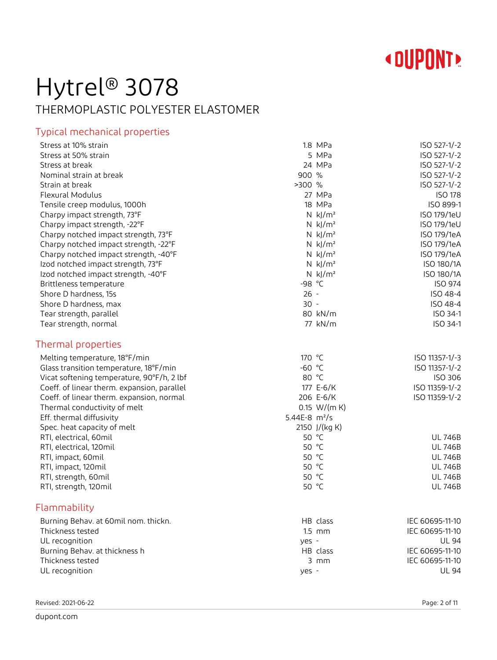

## Hytrel® 3078 THERMOPLASTIC POLYESTER ELASTOMER

### Typical mechanical properties

| Stress at 10% strain                        |                 | 1.8 MPa                | ISO 527-1/-2    |
|---------------------------------------------|-----------------|------------------------|-----------------|
| Stress at 50% strain                        |                 | 5 MPa                  | ISO 527-1/-2    |
| Stress at break                             |                 | 24 MPa                 | ISO 527-1/-2    |
| Nominal strain at break                     | 900%            |                        | ISO 527-1/-2    |
| Strain at break                             | >300 %          |                        | ISO 527-1/-2    |
| <b>Flexural Modulus</b>                     |                 | 27 MPa                 | <b>ISO 178</b>  |
| Tensile creep modulus, 1000h                |                 | 18 MPa                 | ISO 899-1       |
| Charpy impact strength, 73°F                |                 | $N$ kJ/m <sup>2</sup>  | ISO 179/1eU     |
| Charpy impact strength, -22°F               |                 | N $k$ J/m <sup>2</sup> | ISO 179/1eU     |
| Charpy notched impact strength, 73°F        |                 | $N$ kJ/m <sup>2</sup>  | ISO 179/1eA     |
| Charpy notched impact strength, -22°F       |                 | $N$ kJ/ $m2$           | ISO 179/1eA     |
| Charpy notched impact strength, -40°F       |                 | $N$ kJ/ $m2$           | ISO 179/1eA     |
| Izod notched impact strength, 73°F          |                 | $N$ kJ/ $m2$           | ISO 180/1A      |
| Izod notched impact strength, -40°F         |                 | $N$ kJ/m <sup>2</sup>  | ISO 180/1A      |
| Brittleness temperature                     | -98 °C          |                        | ISO 974         |
| Shore D hardness, 15s                       | $26 -$          |                        | ISO 48-4        |
| Shore D hardness, max                       | $30 -$          |                        | ISO 48-4        |
| Tear strength, parallel                     |                 | 80 kN/m                | ISO 34-1        |
| Tear strength, normal                       |                 | 77 kN/m                | ISO 34-1        |
| Thermal properties                          |                 |                        |                 |
| Melting temperature, 18°F/min               | 170 °C          |                        | ISO 11357-1/-3  |
| Glass transition temperature, 18°F/min      | $-60$ °C        |                        | ISO 11357-1/-2  |
| Vicat softening temperature, 90°F/h, 2 lbf  | 80 °C           |                        | ISO 306         |
| Coeff. of linear therm. expansion, parallel |                 | 177 E-6/K              | ISO 11359-1/-2  |
| Coeff. of linear therm. expansion, normal   |                 | 206 E-6/K              | ISO 11359-1/-2  |
| Thermal conductivity of melt                |                 | 0.15 W/(m K)           |                 |
| Eff. thermal diffusivity                    | 5.44E-8 $m^2/s$ |                        |                 |
| Spec. heat capacity of melt                 |                 | 2150 J/(kg K)          |                 |
| RTI, electrical, 60mil                      | 50 °C           |                        | <b>UL 746B</b>  |
| RTI, electrical, 120mil                     | 50 °C           |                        | <b>UL 746B</b>  |
| RTI, impact, 60mil                          | 50 °C           |                        | <b>UL 746B</b>  |
| RTI, impact, 120mil                         | 50 °C           |                        | <b>UL 746B</b>  |
| RTI, strength, 60mil                        | 50 °C           |                        | <b>UL 746B</b>  |
| RTI, strength, 120mil                       | 50 °C           |                        | <b>UL 746B</b>  |
| Flammability                                |                 |                        |                 |
| Burning Behav. at 60mil nom. thickn.        |                 | HB class               | IEC 60695-11-10 |
| Thickness tested                            |                 | $1.5$ mm               | IEC 60695-11-10 |
| UL recognition                              | yes -           |                        | UL 94           |
| Burning Behav. at thickness h               |                 | HB class               | IEC 60695-11-10 |
| Thickness tested                            |                 | $3$ mm                 | IEC 60695-11-10 |
| UL recognition                              | yes -           |                        | <b>UL 94</b>    |
|                                             |                 |                        |                 |

Revised: 2021-06-22 Page: 2 of 11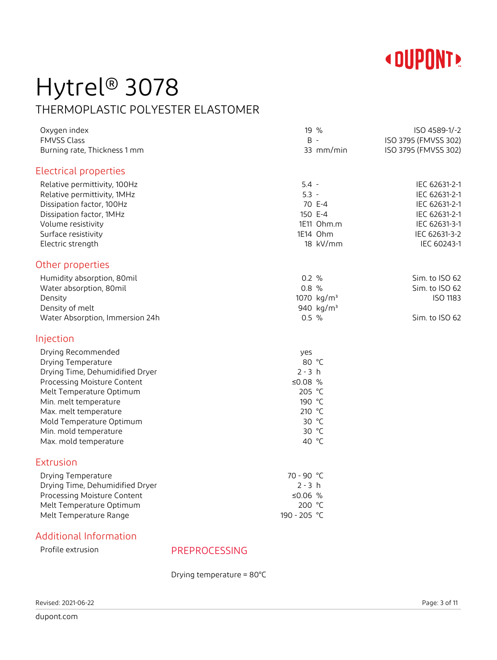

## Hytrel® 3078 THERMOPLASTIC POLYESTER ELASTOMER

| Oxygen index<br><b>FMVSS Class</b> | 19 %<br>$B -$          | ISO 4589-1/-2<br>ISO 3795 (FMVSS 302) |
|------------------------------------|------------------------|---------------------------------------|
| Burning rate, Thickness 1 mm       | 33 mm/min              | ISO 3795 (FMVSS 302)                  |
| Electrical properties              |                        |                                       |
| Relative permittivity, 100Hz       | $5.4 -$                | IEC 62631-2-1                         |
| Relative permittivity, 1MHz        | $5.3 -$                | IEC 62631-2-1                         |
| Dissipation factor, 100Hz          | 70 E-4                 | IEC 62631-2-1                         |
| Dissipation factor, 1MHz           | 150 E-4                | IEC 62631-2-1                         |
| Volume resistivity                 | 1E11 Ohm.m             | IEC 62631-3-1                         |
| Surface resistivity                | 1E14 Ohm               | IEC 62631-3-2                         |
| Electric strength                  | 18 kV/mm               | IEC 60243-1                           |
| Other properties                   |                        |                                       |
| Humidity absorption, 80mil         | 0.2 %                  | Sim. to ISO 62                        |
| Water absorption, 80mil            | 0.8 %                  | Sim. to ISO 62                        |
| Density                            | 1070 kg/m <sup>3</sup> | ISO 1183                              |
| Density of melt                    | 940 kg/m <sup>3</sup>  |                                       |
| Water Absorption, Immersion 24h    | $0.5 \%$               | Sim. to ISO 62                        |
| Injection                          |                        |                                       |
| Drying Recommended                 | yes                    |                                       |
| Drying Temperature                 | 80 °C                  |                                       |
| Drying Time, Dehumidified Dryer    | $2 - 3 h$              |                                       |
| Processing Moisture Content        | ≤0.08 $%$              |                                       |
| Melt Temperature Optimum           | 205 °C                 |                                       |
| Min. melt temperature              | 190 °C                 |                                       |
| Max. melt temperature              | 210 °C                 |                                       |
| Mold Temperature Optimum           | 30 °C                  |                                       |
| Min. mold temperature              | 30 °C                  |                                       |
| Max. mold temperature              | 40 °C                  |                                       |
| <b>Extrusion</b>                   |                        |                                       |
| Drying Temperature                 | 70 - 90 °C             |                                       |
| Drying Time, Dehumidified Dryer    | $2 - 3 h$              |                                       |
| Processing Moisture Content        | ≤0.06 $%$              |                                       |
| Melt Temperature Optimum           | 200 °C                 |                                       |
| Melt Temperature Range             | 190 - 205 °C           |                                       |

### Additional Information

Profile extrusion PREPROCESSING

Drying temperature = 80°C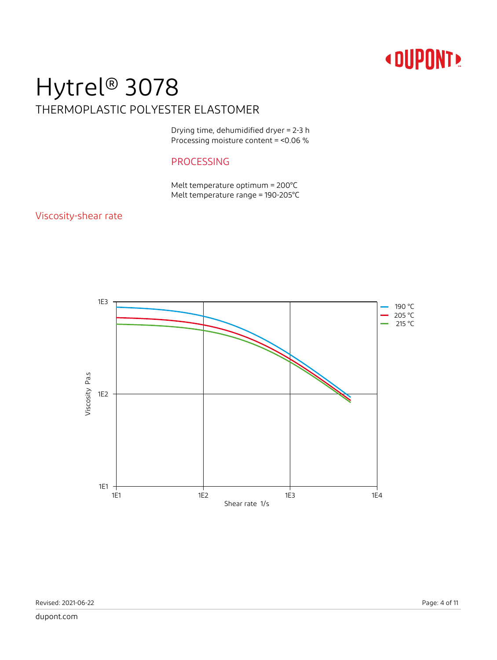## Hytrel® 3078 THERMOPLASTIC POLYESTER ELASTOMER

Drying time, dehumidified dryer = 2-3 h Processing moisture content = <0.06 %

### PROCESSING

Melt temperature optimum = 200°C Melt temperature range = 190-205°C

### Viscosity-shear rate

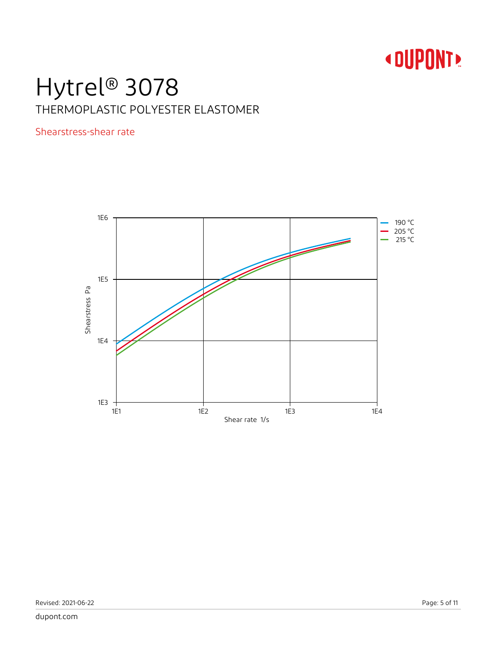## Hytrel® 3078 THERMOPLASTIC POLYESTER ELASTOMER

Shearstress-shear rate

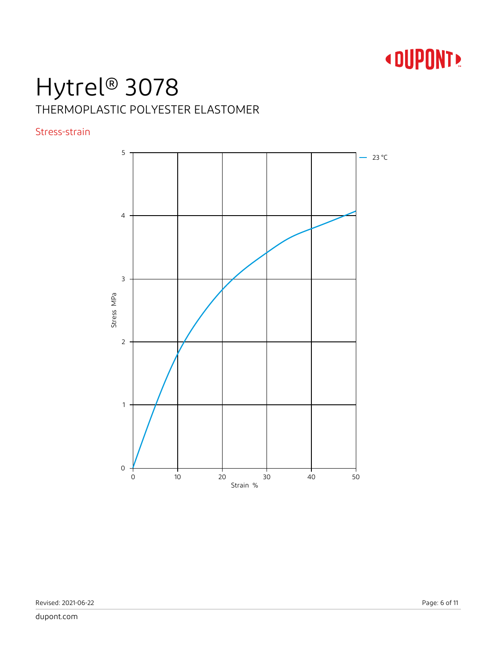# **«DUPONT»**

# Hytrel® 3078 THERMOPLASTIC POLYESTER ELASTOMER

### Stress-strain

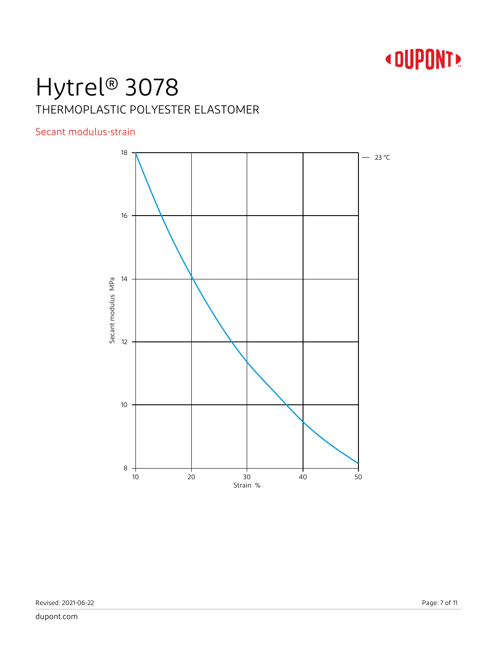# **«DUPONT»**

# Hytrel® 3078 THERMOPLASTIC POLYESTER ELASTOMER

### Secant modulus-strain

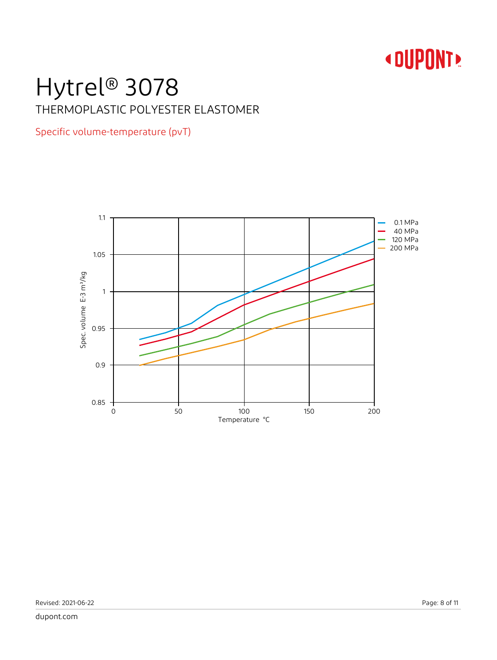# Hytrel® 3078 THERMOPLASTIC POLYESTER ELASTOMER

### Specific volume-temperature (pvT)

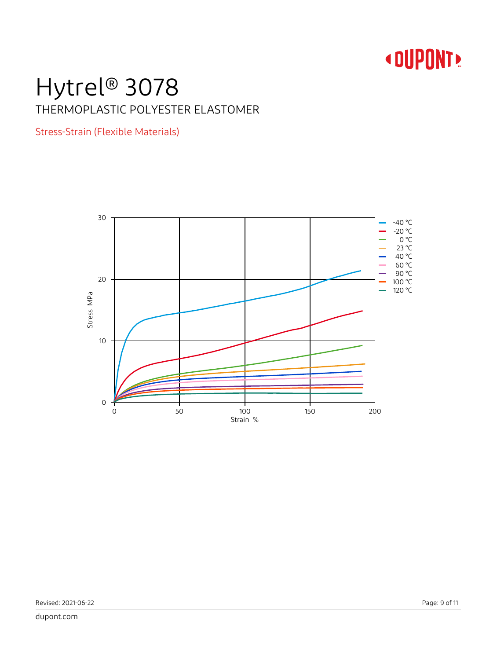## Hytrel® 3078 THERMOPLASTIC POLYESTER ELASTOMER

Stress-Strain (Flexible Materials)

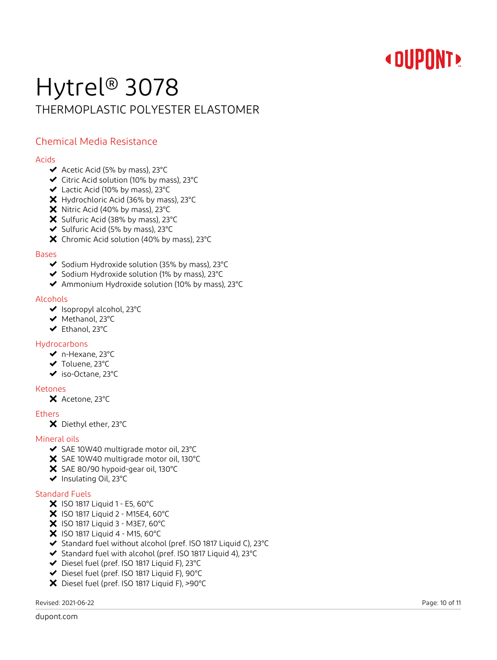# Hytrel® 3078 THERMOPLASTIC POLYESTER ELASTOMER

### Chemical Media Resistance

### Acids

- $\blacktriangleright$  Acetic Acid (5% by mass), 23°C
- Citric Acid solution (10% by mass), 23°C
- Lactic Acid (10% by mass), 23°C
- X Hydrochloric Acid (36% by mass), 23°C
- X Nitric Acid (40% by mass), 23°C
- X Sulfuric Acid (38% by mass), 23°C
- ◆ Sulfuric Acid (5% by mass), 23°C
- X Chromic Acid solution (40% by mass), 23°C

### Bases

- ◆ Sodium Hydroxide solution (35% by mass), 23°C
- $\blacktriangleright$  Sodium Hydroxide solution (1% by mass), 23 $^{\circ}$ C
- Ammonium Hydroxide solution (10% by mass), 23°C

### Alcohols

- ◆ Isopropyl alcohol, 23°C
- ◆ Methanol, 23°C
- Ethanol, 23°C

#### Hydrocarbons

- n-Hexane, 23°C
- ◆ Toluene, 23°C
- iso-Octane, 23°C

#### Ketones

X Acetone, 23°C

### Ethers

X Diethyl ether, 23°C

#### Mineral oils

- SAE 10W40 multigrade motor oil, 23°C
- SAE 10W40 multigrade motor oil, 130°C
- X SAE 80/90 hypoid-gear oil, 130°C
- ◆ Insulating Oil, 23°C

### Standard Fuels

- $\bm{\times}$  ISO 1817 Liquid 1 E5, 60°C
- X ISO 1817 Liquid 2 M15E4, 60°C
- X ISO 1817 Liquid 3 M3E7, 60°C
- $\bm{\times}$  ISO 1817 Liquid 4 M15, 60°C
- ◆ Standard fuel without alcohol (pref. ISO 1817 Liquid C), 23°C
- Standard fuel with alcohol (pref. ISO 1817 Liquid 4), 23°C
- Diesel fuel (pref. ISO 1817 Liquid F), 23°C
- Diesel fuel (pref. ISO 1817 Liquid F), 90°C
- Diesel fuel (pref. ISO 1817 Liquid F), >90°C

Revised: 2021-06-22 Page: 10 of 11